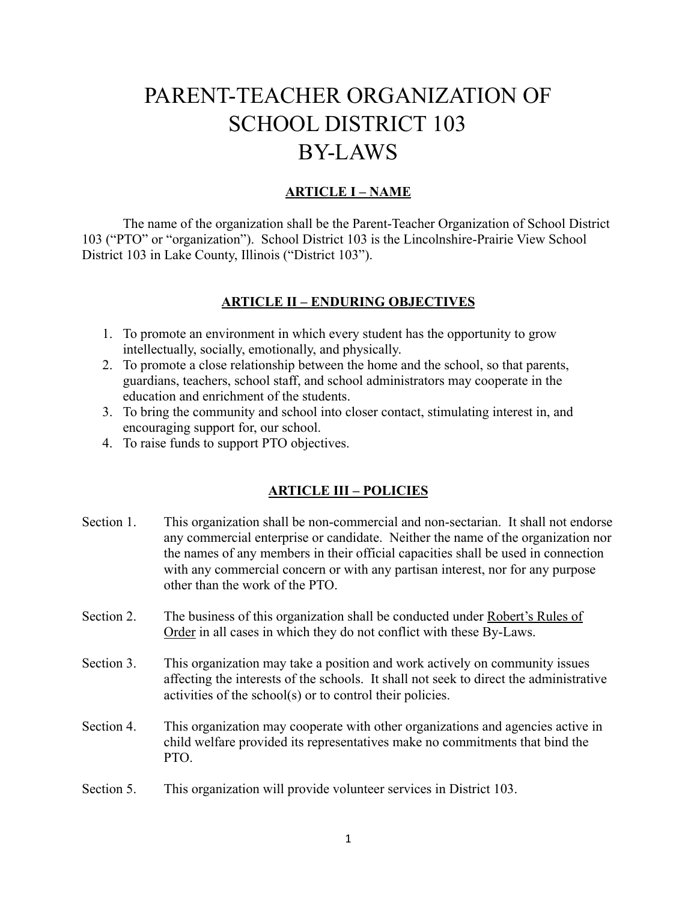# PARENT-TEACHER ORGANIZATION OF SCHOOL DISTRICT 103 BY-LAWS

## **ARTICLE I – NAME**

The name of the organization shall be the Parent-Teacher Organization of School District 103 ("PTO" or "organization"). School District 103 is the Lincolnshire-Prairie View School District 103 in Lake County, Illinois ("District 103").

#### **ARTICLE II – ENDURING OBJECTIVES**

- 1. To promote an environment in which every student has the opportunity to grow intellectually, socially, emotionally, and physically.
- 2. To promote a close relationship between the home and the school, so that parents, guardians, teachers, school staff, and school administrators may cooperate in the education and enrichment of the students.
- 3. To bring the community and school into closer contact, stimulating interest in, and encouraging support for, our school.
- 4. To raise funds to support PTO objectives.

#### **ARTICLE III – POLICIES**

- Section 1. This organization shall be non-commercial and non-sectarian. It shall not endorse any commercial enterprise or candidate. Neither the name of the organization nor the names of any members in their official capacities shall be used in connection with any commercial concern or with any partisan interest, nor for any purpose other than the work of the PTO.
- Section 2. The business of this organization shall be conducted under Robert's Rules of Order in all cases in which they do not conflict with these By-Laws.
- Section 3. This organization may take a position and work actively on community issues affecting the interests of the schools. It shall not seek to direct the administrative activities of the school(s) or to control their policies.
- Section 4. This organization may cooperate with other organizations and agencies active in child welfare provided its representatives make no commitments that bind the PTO.
- Section 5. This organization will provide volunteer services in District 103.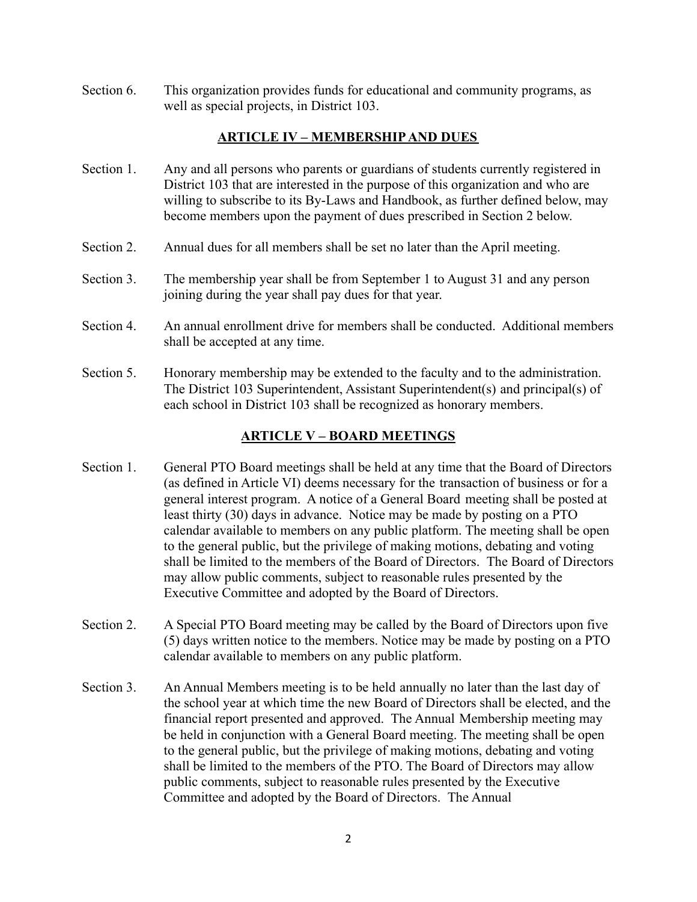Section 6. This organization provides funds for educational and community programs, as well as special projects, in District 103.

## **ARTICLE IV – MEMBERSHIP AND DUES**

- Section 1. Any and all persons who parents or guardians of students currently registered in District 103 that are interested in the purpose of this organization and who are willing to subscribe to its By-Laws and Handbook, as further defined below, may become members upon the payment of dues prescribed in Section 2 below.
- Section 2. Annual dues for all members shall be set no later than the April meeting.
- Section 3. The membership year shall be from September 1 to August 31 and any person joining during the year shall pay dues for that year.
- Section 4. An annual enrollment drive for members shall be conducted. Additional members shall be accepted at any time.
- Section 5. Honorary membership may be extended to the faculty and to the administration. The District 103 Superintendent, Assistant Superintendent(s) and principal(s) of each school in District 103 shall be recognized as honorary members.

## **ARTICLE V – BOARD MEETINGS**

- Section 1. General PTO Board meetings shall be held at any time that the Board of Directors (as defined in Article VI) deems necessary for the transaction of business or for a general interest program. A notice of a General Board meeting shall be posted at least thirty (30) days in advance. Notice may be made by posting on a PTO calendar available to members on any public platform. The meeting shall be open to the general public, but the privilege of making motions, debating and voting shall be limited to the members of the Board of Directors. The Board of Directors may allow public comments, subject to reasonable rules presented by the Executive Committee and adopted by the Board of Directors.
- Section 2. A Special PTO Board meeting may be called by the Board of Directors upon five (5) days written notice to the members. Notice may be made by posting on a PTO calendar available to members on any public platform.
- Section 3. An Annual Members meeting is to be held annually no later than the last day of the school year at which time the new Board of Directors shall be elected, and the financial report presented and approved. The Annual Membership meeting may be held in conjunction with a General Board meeting. The meeting shall be open to the general public, but the privilege of making motions, debating and voting shall be limited to the members of the PTO. The Board of Directors may allow public comments, subject to reasonable rules presented by the Executive Committee and adopted by the Board of Directors. The Annual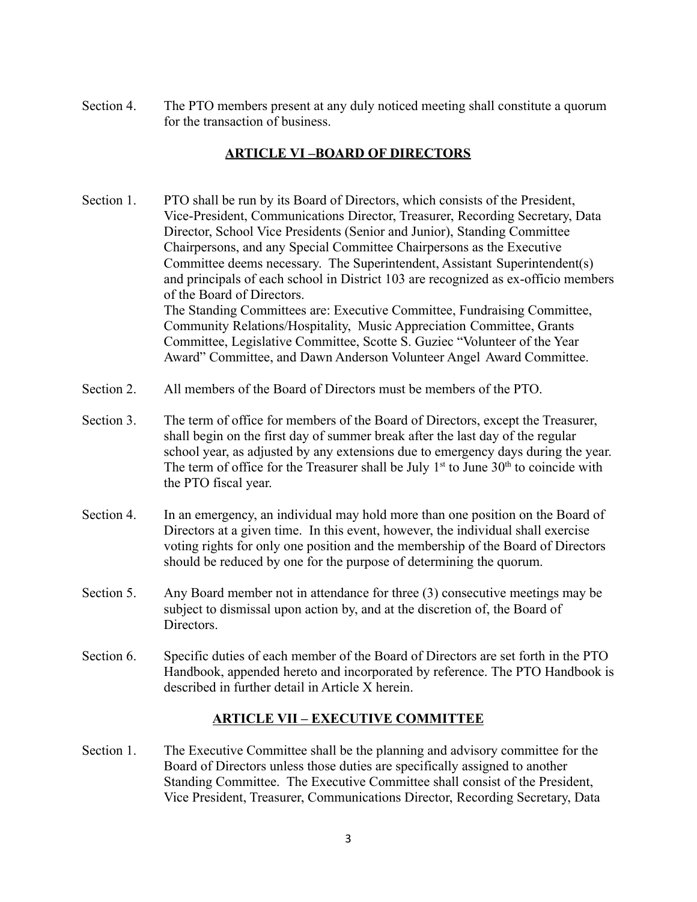Section 4. The PTO members present at any duly noticed meeting shall constitute a quorum for the transaction of business.

# **ARTICLE VI –BOARD OF DIRECTORS**

- Section 1. PTO shall be run by its Board of Directors, which consists of the President, Vice-President, Communications Director, Treasurer, Recording Secretary, Data Director, School Vice Presidents (Senior and Junior), Standing Committee Chairpersons, and any Special Committee Chairpersons as the Executive Committee deems necessary. The Superintendent, Assistant Superintendent(s) and principals of each school in District 103 are recognized as ex-officio members of the Board of Directors. The Standing Committees are: Executive Committee, Fundraising Committee, Community Relations/Hospitality, Music Appreciation Committee, Grants Committee, Legislative Committee, Scotte S. Guziec "Volunteer of the Year Award" Committee, and Dawn Anderson Volunteer Angel Award Committee.
- Section 2. All members of the Board of Directors must be members of the PTO.
- Section 3. The term of office for members of the Board of Directors, except the Treasurer, shall begin on the first day of summer break after the last day of the regular school year, as adjusted by any extensions due to emergency days during the year. The term of office for the Treasurer shall be July  $1<sup>st</sup>$  to June  $30<sup>th</sup>$  to coincide with the PTO fiscal year.
- Section 4. In an emergency, an individual may hold more than one position on the Board of Directors at a given time. In this event, however, the individual shall exercise voting rights for only one position and the membership of the Board of Directors should be reduced by one for the purpose of determining the quorum.
- Section 5. Any Board member not in attendance for three (3) consecutive meetings may be subject to dismissal upon action by, and at the discretion of, the Board of Directors.
- Section 6. Specific duties of each member of the Board of Directors are set forth in the PTO Handbook, appended hereto and incorporated by reference. The PTO Handbook is described in further detail in Article X herein.

## **ARTICLE VII – EXECUTIVE COMMITTEE**

Section 1. The Executive Committee shall be the planning and advisory committee for the Board of Directors unless those duties are specifically assigned to another Standing Committee. The Executive Committee shall consist of the President, Vice President, Treasurer, Communications Director, Recording Secretary, Data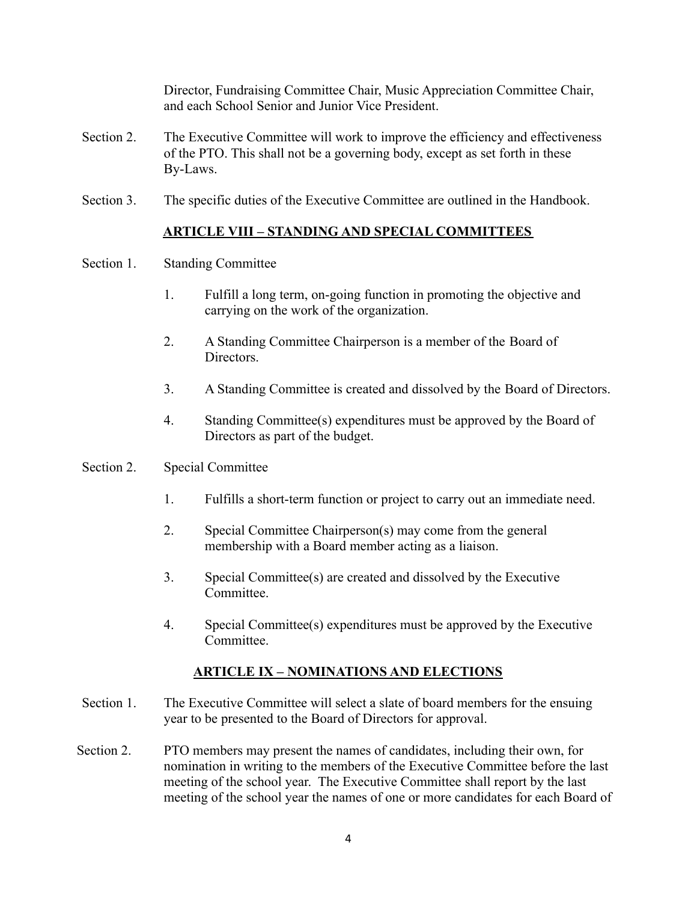Director, Fundraising Committee Chair, Music Appreciation Committee Chair, and each School Senior and Junior Vice President.

- Section 2. The Executive Committee will work to improve the efficiency and effectiveness of the PTO. This shall not be a governing body, except as set forth in these By-Laws.
- Section 3. The specific duties of the Executive Committee are outlined in the Handbook.

## **ARTICLE VIII – STANDING AND SPECIAL COMMITTEES**

- Section 1. Standing Committee
	- 1. Fulfill a long term, on-going function in promoting the objective and carrying on the work of the organization.
	- 2. A Standing Committee Chairperson is a member of the Board of Directors.
	- 3. A Standing Committee is created and dissolved by the Board of Directors.
	- 4. Standing Committee(s) expenditures must be approved by the Board of Directors as part of the budget.
- Section 2. Special Committee
	- 1. Fulfills a short-term function or project to carry out an immediate need.
	- 2. Special Committee Chairperson(s) may come from the general membership with a Board member acting as a liaison.
	- 3. Special Committee(s) are created and dissolved by the Executive Committee.
	- 4. Special Committee(s) expenditures must be approved by the Executive Committee.

# **ARTICLE IX – NOMINATIONS AND ELECTIONS**

- Section 1. The Executive Committee will select a slate of board members for the ensuing year to be presented to the Board of Directors for approval.
- Section 2. PTO members may present the names of candidates, including their own, for nomination in writing to the members of the Executive Committee before the last meeting of the school year. The Executive Committee shall report by the last meeting of the school year the names of one or more candidates for each Board of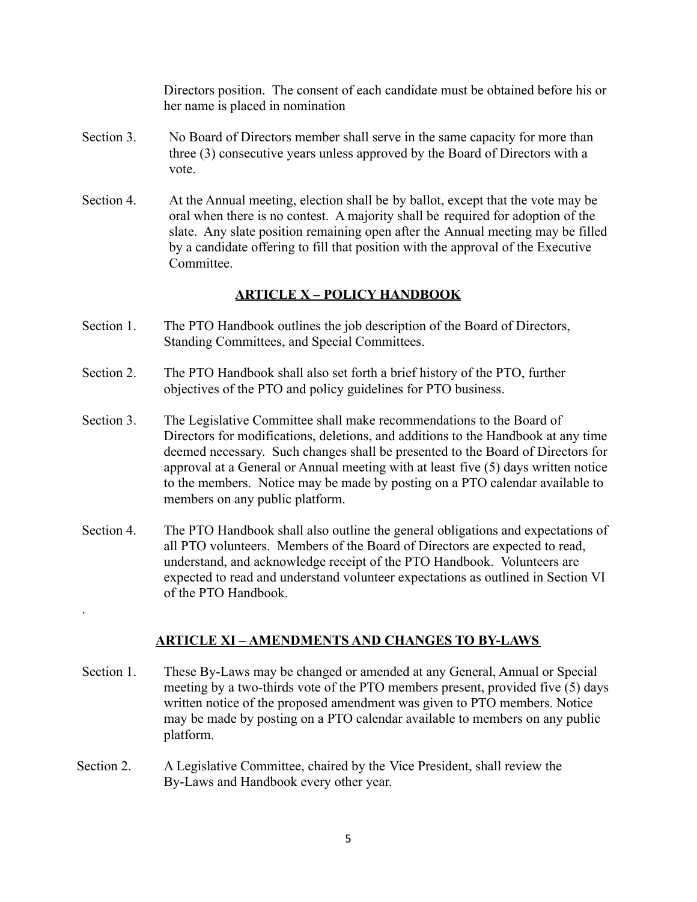Directors position. The consent of each candidate must be obtained before his or her name is placed in nomination

- Section 3. No Board of Directors member shall serve in the same capacity for more than three (3) consecutive years unless approved by the Board of Directors with a vote.
- Section 4. At the Annual meeting, election shall be by ballot, except that the vote may be oral when there is no contest. A majority shall be required for adoption of the slate. Any slate position remaining open after the Annual meeting may be filled by a candidate offering to fill that position with the approval of the Executive **Committee**

# **ARTICLE X – POLICY HANDBOOK**

- Section 1. The PTO Handbook outlines the job description of the Board of Directors, Standing Committees, and Special Committees.
- Section 2. The PTO Handbook shall also set forth a brief history of the PTO, further objectives of the PTO and policy guidelines for PTO business.
- Section 3. The Legislative Committee shall make recommendations to the Board of Directors for modifications, deletions, and additions to the Handbook at any time deemed necessary. Such changes shall be presented to the Board of Directors for approval at a General or Annual meeting with at least five (5) days written notice to the members. Notice may be made by posting on a PTO calendar available to members on any public platform.
- Section 4. The PTO Handbook shall also outline the general obligations and expectations of all PTO volunteers. Members of the Board of Directors are expected to read, understand, and acknowledge receipt of the PTO Handbook. Volunteers are expected to read and understand volunteer expectations as outlined in Section VI of the PTO Handbook.

## **ARTICLE XI – AMENDMENTS AND CHANGES TO BY-LAWS**

- Section 1. These By-Laws may be changed or amended at any General, Annual or Special meeting by a two-thirds vote of the PTO members present, provided five (5) days written notice of the proposed amendment was given to PTO members. Notice may be made by posting on a PTO calendar available to members on any public platform.
- Section 2. A Legislative Committee, chaired by the Vice President, shall review the By-Laws and Handbook every other year.

.